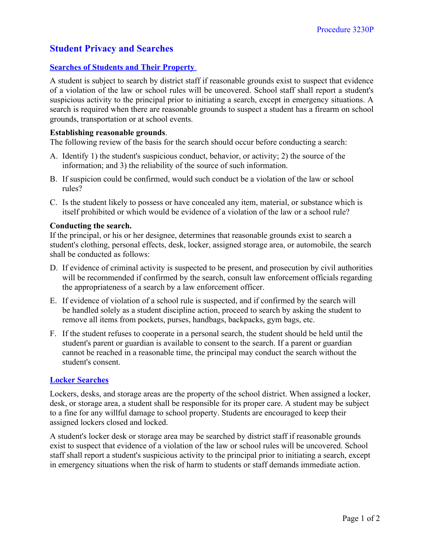# **Student Privacy and Searches**

## **Searches of Students and Their Property**

A student is subject to search by district staff if reasonable grounds exist to suspect that evidence of a violation of the law or school rules will be uncovered. School staff shall report a student's suspicious activity to the principal prior to initiating a search, except in emergency situations. A search is required when there are reasonable grounds to suspect a student has a firearm on school grounds, transportation or at school events.

### **Establishing reasonable grounds**.

The following review of the basis for the search should occur before conducting a search:

- A. Identify 1) the student's suspicious conduct, behavior, or activity; 2) the source of the information; and 3) the reliability of the source of such information.
- B. If suspicion could be confirmed, would such conduct be a violation of the law or school rules?
- C. Is the student likely to possess or have concealed any item, material, or substance which is itself prohibited or which would be evidence of a violation of the law or a school rule?

#### **Conducting the search.**

If the principal, or his or her designee, determines that reasonable grounds exist to search a student's clothing, personal effects, desk, locker, assigned storage area, or automobile, the search shall be conducted as follows:

- D. If evidence of criminal activity is suspected to be present, and prosecution by civil authorities will be recommended if confirmed by the search, consult law enforcement officials regarding the appropriateness of a search by a law enforcement officer.
- E. If evidence of violation of a school rule is suspected, and if confirmed by the search will be handled solely as a student discipline action, proceed to search by asking the student to remove all items from pockets, purses, handbags, backpacks, gym bags, etc.
- F. If the student refuses to cooperate in a personal search, the student should be held until the student's parent or guardian is available to consent to the search. If a parent or guardian cannot be reached in a reasonable time, the principal may conduct the search without the student's consent.

## **Locker Searches**

Lockers, desks, and storage areas are the property of the school district. When assigned a locker, desk, or storage area, a student shall be responsible for its proper care. A student may be subject to a fine for any willful damage to school property. Students are encouraged to keep their assigned lockers closed and locked.

A student's locker desk or storage area may be searched by district staff if reasonable grounds exist to suspect that evidence of a violation of the law or school rules will be uncovered. School staff shall report a student's suspicious activity to the principal prior to initiating a search, except in emergency situations when the risk of harm to students or staff demands immediate action.